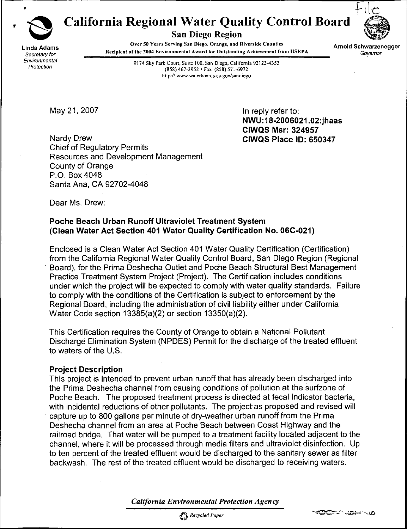

# California Regional Water Quality Control Board



**Linda Adams**<br>Secretary for

San Diego Region

 $\overline{O}$ ver 50 Tears Serving San Diego, Orange, and Riverside Countie e and Recipient of the 2004 Environmental Award for Outstanding Achievement from USEPA Governor Governor

Arnold Schwarzenegger<br>Governor

Environmental<br>
Protection<br>
Protection (958) 427, 2053, 457, 2053, 554, (958) 571, 6072 (858) 467-2952 • Fax (858) 571-6972 http:// www.waterboards.ca.gov/sandiego

May 21, 2007 **In reply refer to:** NWU:18-2006021,02:jhaas CIWQS Msr: 324957

Nardy Drew **Nardy Drew CIWQS Place ID: 650347** Chief of Regulatory Permits Resources and Development Management County of Orange P.O. Box 4048 Santa Ana, CA 92702-4048

Dear Ms. Drew:

#### Poche Beach Urban Runoff Ultraviolet Treatment System (Clean Water Act Section 401 Water Quality Certification No, 06C-021)

Enclosed is a Clean Water Act Section 401 Water Quality Certification (Certification) from the California Regional Water Quality Control Board, San Diego Region (Regional Board), for the Prima Deshecha Outlet and Poche Beach Structural Best Management Practice Treatment System Project (Project). The Certification includes conditions under which the project will be expected to comply with water quality standards. Failure to comply with the conditions of the Certification is subject to enforcement by the Regional Board, including the administration of civil liability either under California Water Code section 13385(a)(2) or section 13350(a)(2).

This Certification requires the County of Orange to obtain a National Pollutant Discharge Elimination System (NPDES) Permit for the discharge of the treated effluent to waters of the U.S.

#### Project Description

This project is intended to prevent urban runoff that has already been discharged into the Prima Deshecha channel from causing conditions of pollution at the surfzone of Poche Beach. The proposed treatment process is directed at fecal indicator bacteria, with incidental reductions of other pollutants. The project as proposed and revised will capture up to 800 gallons per minute of dry-weather urban runoff from the Prima Deshecha channel from an area at Poche Beach between Coast Highway and the railroad bridge. That water will be pumped to a treatment facility located adjacent to the channel, where it will be processed through media filters and ultraviolet disinfection. Up to ten percent of the treated effluent would be discharged to the sanitary sewer as filter backwash. The rest of the treated effluent would be discharged to receiving waters.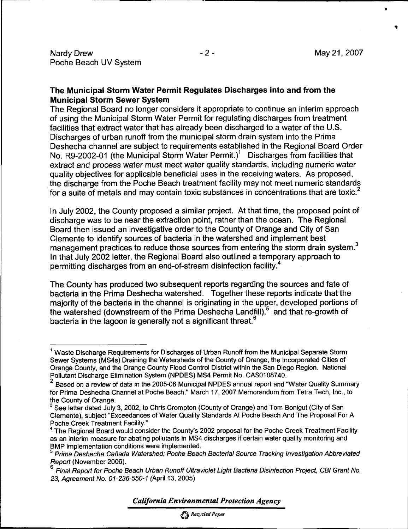#### The Municipal Storm Water Permit Regulates Discharges into and from the Municipal Storm Sewer System

The Regional Board no longer considers it appropriate to continue an interim approach of using the Municipal Storm Water Permit for regulating discharges from treatment facilities that extract water that has already been discharged to a water of the U.S. Discharges of urban runoff from the municipal storm drain system into the Prima Deshecha channel are subject to requirements established in the Regional Board Order No. R9-2002-01 (the Municipal Storm Water Permit.)<sup>1</sup> Discharges from facilities that extract and process water must meet water quality standards, including numeric water quality objectives for applicable beneficial uses in the receiving waters. As proposed, the discharge from the Poche Beach treatment facility may not meet numeric standards for a suite of metals and may contain toxic substances in concentrations that are toxic.<sup>2</sup>

In July 2002, the County proposed a similar project. At that time, the proposed point of discharge was to be near the extraction point, rather than the ocean. The Regional Board then issued an investigative order to the County of Orange and City of San Clemente to identify sources of bacteria in the watershed and implement best management practices to reduce those sources from entering the storm drain system.<sup>3</sup> In that July 2002 letter, the Regional Board also outlined a temporary approach to permitting discharges from an end-of-stream disinfection facility.<sup>4</sup>

The County has produced two subsequent reports regarding the sources and fate of bacteria in the Prima Deshecha watershed. Together these reports indicate that the majority of the bacteria in the channel is originating in the upper, developed portions of the watershed (downstream of the Prima Deshecha Landfill),<sup>5</sup> and that re-growth of bacteria in the lagoon is generally not a significant threat.<sup>6</sup>

California Environmental Protection Agency

Recycled Paper

<sup>&</sup>lt;sup>1</sup> Waste Discharge Requirements for Discharges of Urban Runoff from the Municipal Separate Storm Sewer Systems (MS4s) Draining the Watersheds of the County of Orange, the Incorporated Cities of Orange County, and the Orange County Flood Control District within the San Diego Region. National Pollutant Discharge Elimination System (NPDES) MS4 Permit No. CAS0108740.

<sup>2</sup> Based on a review of data in the 2005-06 Municipal NPDES annual report and "Water Quality Summary for Prima Deshecha Channel at Poche Beach." March 17, 2007 Memorandum from Tetra Tech, Inc., to the County of Orange.

 $3$  See letter dated July 3, 2002, to Chris Crompton (County of Orange) and Tom Bonigut (City of San Clemente), subject "Exceedances of Water Quality Standards At Poche Beach And The Proposal For A Poche Creek Treatment Facility."

<sup>&</sup>lt;sup>4</sup> The Regional Board would consider the County's 2002 proposal for the Poche Creek Treatment Facility as an interim measure for abating pollutants in MS4 discharges if certain water quality monitoring and BMP implementation conditions were implemented.

<sup>&</sup>lt;sup>5</sup> Prima Deshecha Cañada Watershed: Poche Beach Bacterial Source Tracking Investigation Abbreviated Report (November 2006).

<sup>6</sup> Final Report for Poche Beach Urban Runoff Ultraviolet Light Bacteria Disinfection Project, CBI Grant No. 23, Agreement No. 01-236-550-1 (April 13. 2005)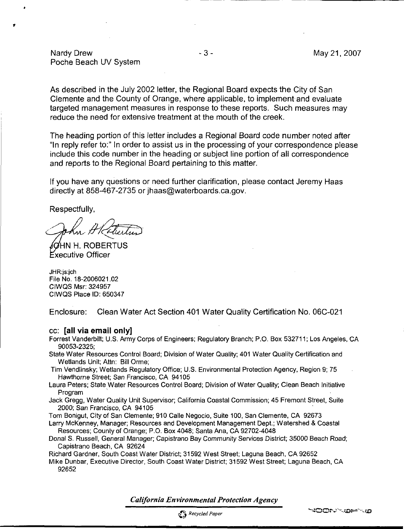Nardy Drew **- 3 - May 21, 2007** Poche Beach UV System

As described in the July 2002 letter, the Regional Board expects the City of San Clemente and the County of Orange, where applicable, to implement and evaluate targeted management measures in response to these reports. Such measures may reduce the need for extensive treatment at the mouth of the creek.

The heading portion of this letter includes a Regional Board code number noted after "In reply refer to:" In order to assist us in the processing of your correspondence please include this code number in the heading or subject line portion of all correspondence and reports to the Regional Board pertaining to this matter.

If you have any questions or need further clarification, please contact Jeremy Haas directly at 858-467-2735 or jhaas@waterboards.ca.gov.

Respectfully,

**N H. ROBERTUS Executive Officer** 

JHR:js:ich File No. 18-2006021.02 CIWQS Msr: 324957 CIWQS Place ID: 650347

Enclosure: Clean Water Act Section 401 Water Quality Certification No. 06C-021

#### cc: [all via email only]

Forrest Vanderbilt; U.S. Army Corps of Engineers; Regulatory Branch; P.O. Box 532711; Los Angeles, CA 90053-2325;

State Water Resources Control Board; Division of Water Quality; 401 Water Quality Certification and Wetlands Unit; Attn: Bill Orme;

Tim Vendlinsky; Wetlands Regulatory Office; U.S. Environmental Protection Agency, Region 9; 75 Hawthorne Street; San Francisco, CA 94105

- Laura Peters; State Water Resources Control Board; Division of Water Quality; Clean Beach Initiative Program
- Jack Gregg, Water Quality Unit Supervisor; California Coastal Commission; 45 Fremont Street, Suite 2000; San Francisco, CA 94105

Tom Bonigut, City of San Clemente; 910 Calle Negocio, Suite 100. San Clemente. CA 92673

Larry McKenney. Manager; Resources and Development Management Dept.; Watershed & Coastal Resources; County of Orange; P.O. Box 4048; Santa Ana, CA 92702-4048

Donal S. Russell, General Manager; Capistrano Bay Community Services District; 35000 Beach Road; Capistrano Beach, CA 92624

Richard Gardner, South Coast Water District; 31592 West Street; Laguna Beach. CA 92652

Mike Dunbar, Executive Director, South Coast Water District; 31592 West Street; Laguna Beach, CA 92652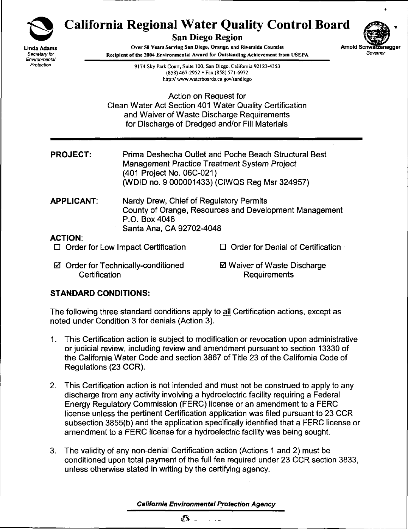

Linda Adams Secretary for Environmental Protection

# California Regional Water Quality Control Board

San Diego Region



Over 50 Years Serving San Diego, Orange, and Riverside Counties Recipient of the 2004 Environmental Award for Outstanding Achievement from USEPA

> 9174 Sky Park Court, Suite 100, San Diego, Califomia 92123-4353 (858) 467-2952 • Fax (858) 571 -6972 http://www.waterboards.ca.gov/sandiego

Action on Request for Clean Water Act Section 401 Water Quality Certification and Waiver of Waste Discharge Requirements for Discharge of Dredged and/or Fill Materials

- PROJECT: Prima Deshecha Outlet and Poche Beach Structural Best Management Practice Treatment System Project (401 Project No. 06C-021) (WDID no. 9 000001433) (CIWQS Reg Msr 324957)
- APPLICANT: Nardy Drew, Chief of Regulatory Permits County of Orange, Resources and Development Management P.O. Box 4048 Santa Ana, CA 92702-4048

### ACTION:

- $\Box$  Order for Low Impact Certification
- Order for Technically-conditioned **Certification**
- 0 Waiver of Waste Discharge Requirements

 $\Box$  Order for Denial of Certification

# STANDARD CONDITIONS:

The following three standard conditions apply to all Certification actions, except as noted under Condition 3 for denials (Action 3).

- 1. This Certification action is subject to modification or revocation upon administrative or judicial review, including review and amendment pursuant to section 13330 of the California Water Code and section 3867 of Title 23 of the California Code of Regulations (23 CCR).
- 2. This Certification action is not intended and must not be construed to apply to any discharge from any activity involving a hydroelectric facility requiring a Federal Energy Regulatory Commission (FERC) license or an amendment to a FERC license unless the pertinent Certification application was filed pursuant to 23 CCR subsection 3855(b) and the application specifically identified that a FERC license or amendment to a FERC license for a hydroelectric facility was being sought.
- 3. The validity of any non-denial Certification action (Actions 1 and 2) must be conditioned upon total payment of the full fee required under 23 CCR section 3833, unless otherwise stated in writing by the certifying agency.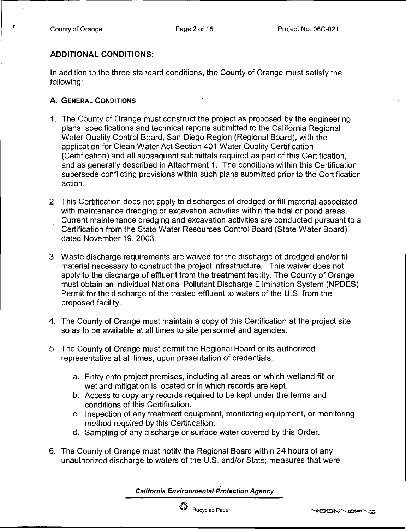## ADDITIONAL CONDITIONS:

In addition to the three standard conditions, the County of Orange must satisfy the following:

## A. GENERAL CONDITIONS

- 1. The County of Orange must construct the project as proposed by the engineering plans, specifications and technical reports submitted to the California Regional Water Quality Control Board, San Diego Region (Regional Board), with the application for Clean Water Act Section 401 Water Quality Certification (Certification) and all subsequent submittals required as part of this Certification, and as generally described in Attachment 1. The conditions within this Certification supersede conflicting provisions within such plans submitted prior to the Certification action.
- 2. This Certification does not apply to discharges of dredged or fill material associated with maintenance dredging or excavation activities within the tidal or pond areas. Current maintenance dredging and excavation activities are conducted pursuant to a Certification from the State Water Resources Control Board (State Water Board) dated November 19, 2003.
- 3. Waste discharge requirements are waived for the discharge of dredged and/or fill material necessary to construct the project infrastructure. This waiver does not apply to the discharge of effluent from the treatment facility. The County of Orange must obtain an individual National Pollutant Discharge Elimination System (NPDES) Permit for the discharge of the treated effluent to waters of the U.S. from the proposed facility.
- 4. The County of Orange must maintain a copy of this Certification at the project site so as to be available at all times to site personnel and agencies.
- 5. The County of Orange must permit the Regional Board or its authorized representative at all times, upon presentation of credentials:
	- a. Entry .onto project premises, including all areas on which wetland fill or wetland mitigation is located or in which records are kept.
	- b. Access to copy any records required to be kept under the terms and conditions of this Certification.
	- c. Inspection of any treatment equipment, monitoring equipment, or monitoring method required by this Certification.
	- d. Sampling of any discharge or surface water covered by this Order.
- 6. The County of Orange must notify the Regional Board within 24 hours of any unauthorized discharge to waters of the U.S. and/or State; measures that were

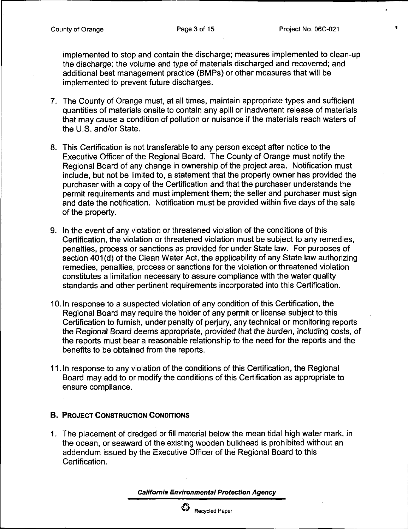implemented to stop and contain the discharge; measures implemented to clean-up the discharge; the volume and type of materials discharged and recovered; and additional best management practice (BMPs) or other measures that will be implemented to prevent future discharges.

- 7. The County of Orange must, at all times, maintain appropriate types and sufficient quantities of materials onsite to contain any spill or inadvertent release of materials that may cause a condition of pollution or nuisance if the materials reach waters of the U.S. and/or State.
- 8. This Certification is not transferable to any person except after notice to the Executive Officer of the Regional Board. The County of Orange must notify the Regional Board of any change in ownership of the project area. Notification must include, but not be limited to, a statement that the property owner has provided the purchaser with a copy of the Certification and that the purchaser understands the permit requirements and must implement them; the seller and purchaser must sign and date the notification. Notification must be provided within five days of the sale of the property.
- 9. In the event of any violation or threatened violation of the conditions of this Certification, the violation or threatened violation must be subject to any remedies, penalties, process or sanctions as provided for under State law. For purposes of section 401(d) of the Clean Water Act, the applicability of any State law authorizing remedies, penalties, process or sanctions for the violation or threatened violation constitutes a limitation necessary to assure compliance with the water quality standards and other pertinent requirements incorporated into this Certification.
- 10. In response to a suspected violation of any condition of this Certification, the Regional Board may require the holder of any permit or license subject to this Certification to furnish, under penalty of perjury, any technical or monitoring reports the Regional Board deems appropriate, provided that the burden, including costs, of the reports must bear a reasonable relationship to the need for the reports and the benefits to be obtained from the reports.
- 11. In response to any violation of the conditions of this Certification, the Regional Board may add to or modify the conditions of this Certification as appropriate to ensure compliance.

#### B. PROJECT CONSTRUCTION CONDITIONS

1. The placement of dredged or fill material below the mean tidal high water mark, in the ocean, or seaward of the existing wooden bulkhead is prohibited without an addendum issued by the Executive Officer of the Regional Board to this Certification.

California Environmental Protection Agency



Recycled Paper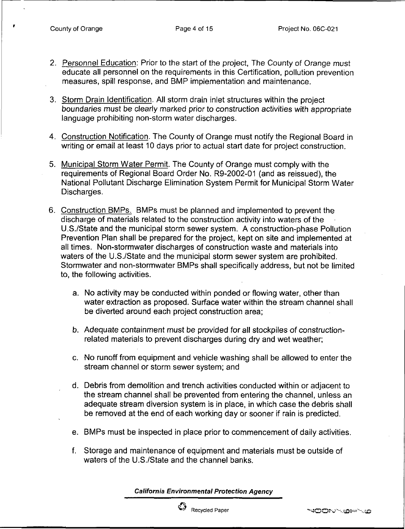- 2. Personnel Education: Prior to the start of the project, The County of Orange must educate all personnel on the requirements in this Certification, pollution prevention measures, spill response, and BMP implementation and maintenance.
- 3. Storm Drain Identification. All storm drain inlet structures within the project boundaries must be clearly marked prior to construction activities with appropriate language prohibiting non-storm water discharges.
- 4. Construction Notification. The County of Orange must notify the Regional Board in writing or email at least 10 days prior to actual start date for project construction.
- 5. Municipal Storm Water Permit. The County of Orange must comply with the requirements of Regional Board Order No. R9-2002-01 (and as reissued), the National Pollutant Discharge Elimination System Permit for Municipal Storm Water Discharges.
- 6. Construction BMPs. BMPs must be planned and implemented to prevent the discharge of materials related to the construction activity into waters of the U.S./State and the municipal storm sewer system. A construction-phase Pollution Prevention Plan shall be prepared for the project, kept on site and implemented at all times. Non-stormwater discharges of construction waste and materials into waters of the U.S./State and the municipal storm sewer system are prohibited. Stormwater and non-stormwater BMPs shall specifically address, but not be limited to, the following activities.
	- a. No activity may be conducted within ponded or flowing water, other than water extraction as proposed. Surface water within the stream channel shall be diverted around each project construction area;
	- b. Adequate containment must be provided for all stockpiles of constructionrelated materials to prevent discharges during dry and wet weather;
	- c. No runoff from equipment and vehicle washing shall be allowed to enter the stream channel or storm sewer system; and
	- d. Debris from demolition and trench activities conducted within or adjacent to the stream channel shall be prevented from entering the channel, unless an adequate stream diversion system is in place, in which case the debris shall be removed at the end of each working day or sooner if rain is predicted.
	- e. BMPs must be inspected in place prior to commencement of daily activities.
	- f. Storage and maintenance of equipment and materials must be outside of waters of the U.S./State and the channel banks.

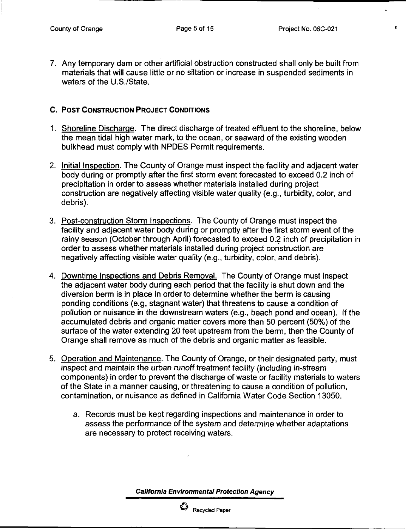$\bullet$ 

7. Any temporary dam or other artificial obstruction constructed shall only be built from materials that will cause little or no siltation or increase in suspended sediments in waters of the U.S./State.

#### C. POST CONSTRUCTION PROJECT CONDITIONS

- 1. Shoreline Discharge. The direct discharge of treated effluent to the shoreline, below the mean tidal high water mark, to the ocean, or seaward of the existing wooden bulkhead must comply with NPDES Permit requirements.
- 2. Initial Inspection. The County of Orange must inspect the facility and adjacent water body during or promptly after the first storm event forecasted to exceed 0.2 inch of precipitation in order to assess whether materials installed during project construction are negatively affecting visible water quality (e.g., turbidity, color, and debris).
- 3. Post-construction Storm Inspections. The County of Orange must inspect the facility and adjacent water body during or promptly after the first storm event of the rainy season (October through April) forecasted to exceed 0.2 inch of precipitation in order to assess whether materials installed during project construction are negatively affecting visible water quality (e.g., turbidity, color, and debris).
- 4. Downtime Inspections and Debris Removal. The County of Orange must inspect the adjacent water body during each period that the facility is shut down and the diversion berm is in place in order to determine whether the berm is causing ponding conditions (e.g, stagnant water) that threatens to cause a condition of pollution or nuisance in the downstream waters (e.g., beach pond and ocean). If the accumulated debris and organic matter covers more than 50 percent (50%) of the surface of the water extending 20 feet upstream from the berm, then the County of Orange shall remove as much of the debris and organic matter as feasible.
- 5. Operation and Maintenance. The County of Orange, or their designated party, must inspect and maintain the urban runoff treatment facility (including in-stream components) in order to prevent the discharge of waste or facility materials to waters of the State in a manner causing, or threatening to cause a condition of pollution, contamination, or nuisance as defined in California Water Code Section 13050.
	- a. Records must be kept regarding inspections and maintenance in order to assess the performance of the system and determine whether adaptations are necessary to protect receiving waters.

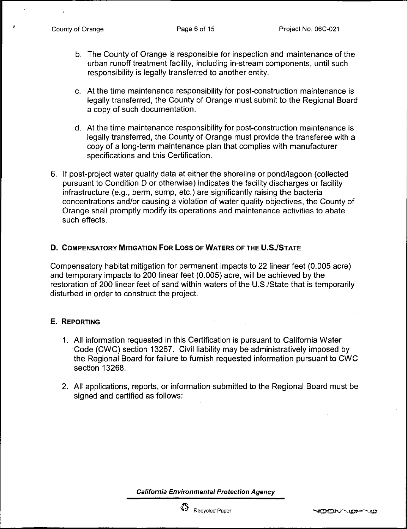- b. The County of Orange is responsible for inspection and maintenance of the urban runoff treatment facility, including in-stream components, until such responsibility is legally transferred to another entity.
- c. At the time maintenance responsibility for post-construction maintenance is legally transferred, the County of Orange must submit to the Regional Board a copy of such documentation.
- d. At the time maintenance responsibility for post-construction maintenance is legally transferred, the County of Orange must provide the transferee with a copy of a long-term maintenance plan that complies with manufacturer specifications and this Certification.
- 6. If post-project water quality data at either the shoreline or pond/lagoon (collected pursuant to Condition D or otherwise) indicates the facility discharges or facility infrastructure (e.g., berm. sump, etc.) are significantly raising the bacteria concentrations and/or causing a violation of water quality objectives, the County of Orange shall promptly modify its operations and maintenance activities to abate such effects.

#### D. COMPENSATORY MITIGATION FOR LOSS OF WATERS OF THE U.S./STATE

Compensatory habitat mitigation for permanent impacts to 22 linear feet (0.005 acre) and temporary impacts to 200 linear feet (0.005) acre, will be achieved by the restoration of 200 linear feet of sand within waters of the U.S./State that is temporarily disturbed in order to construct the project.

#### E. REPORTING

- 1. Ail information requested in this Certification is pursuant to California Water Code (CWC) section 13267. Civil liability may be administratively imposed by the Regional Board for failure to furnish requested information pursuant to CWC section 13268.
- 2. All applications, reports, or information submitted to the Regional Board must be signed and certified as follows:

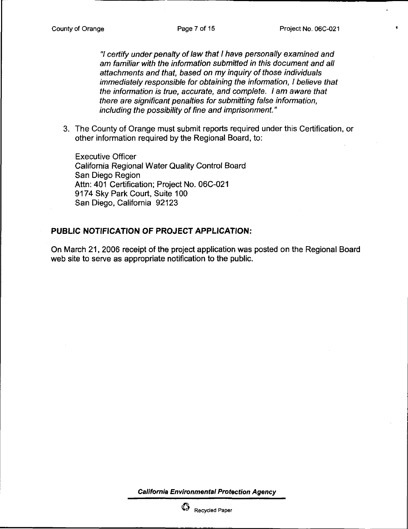7 certify under penalty of law that I have personally examined and am familiar with the information submitted in this document and all attachments and that, based on my inquiry of those individuals immediately responsible for obtaining the information, I believe that the information is true, accurate, and complete. I am aware that there are significant penalties for submitting false information, including the possibility of fine and imprisonment."

3. The County of Orange must submit reports required under this Certification, or other information required by the Regional Board, to:

Executive Officer California Regional Water Quality Control Board San Diego Region Attn: 401 Certification; Project No. 06C-021 9174 Sky Park Court, Suite 100 San Diego, California 92123

#### PUBLIC NOTIFICATION OF PROJECT APPLICATION:

On March 21, 2006 receipt of the project application was posted on the Regional Board web site to serve as appropriate notification to the public.

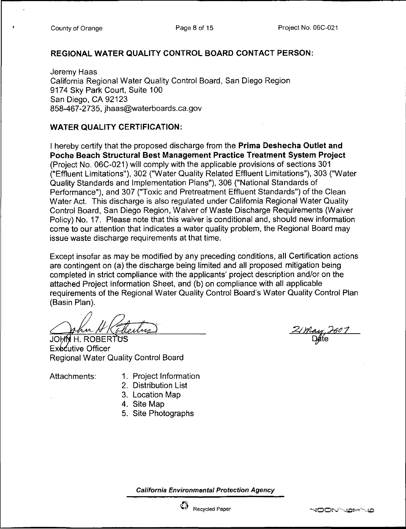#### REGIONAL WATER QUALITY CONTROL BOARD CONTACT PERSON:

Jeremy Haas California Regional Water Quality Control Board, San Diego Region 9174 Sky Park Court, Suite 100 San Diego. CA 92123 858-467-2735, [jhaas@waterboards.ca.gov](mailto:jhaas@waterboards.ca.gov)

### WATER QUALITY CERTIFICATION:

I hereby certify that the proposed discharge from the **Prima Deshecha Outlet and** Poche Beach Structural Best Management Practice Treatment System Project (Project No. 06C-021) will comply with the applicable provisions of sections 301 ("Effluent Limitations"). 302 ("Water Quality Related Effluent Limitations"), 303 ("Water Quality Standards and Implementation Plans"), 306 ("National Standards of Performance"), and 307 ("Toxic and Pretreatment Effluent Standards") of the Clean Water Act. This discharge is also regulated under California Regional Water Quality Control Board, San Diego Region, Waiver of Waste Discharge Requirements (Waiver Policy) No. 17. Please note that this waiver is conditional and, should new information come to our attention that indicates a water quality problem, the Regional Board may issue waste discharge requirements at that time.

Except insofar as may be modified by any preceding conditions, all Certification actions are contingent on (a) the discharge being limited and all proposed mitigation being completed in strict compliance with the applicants' project description and/or on the attached Project Information Sheet, and (b) on compliance with all applicable requirements of the Regional Water Quality Control Board's Water Quality Control Plan (Basin Plan).

JOHN H. ROBERTUS Executive Officer Regional Water Quality Control Board

- Attachments: 1. Project Information
	- 2. Distribution List
	- 3. Location Map
	- 4. Site Map
	- 5. Site Photographs

2/May, 2607

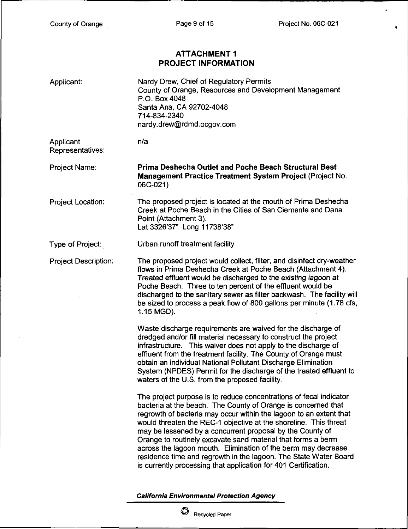$\ddot{\phantom{0}}$ 

 $\bar{\mathbf{t}}$ 

## ATTACHMENT 1 PROJECT INFORMATION

| Applicant:                    | Nardy Drew, Chief of Regulatory Permits<br>County of Orange, Resources and Development Management<br>P.O. Box 4048<br>Santa Ana, CA 92702-4048<br>714-834-2340<br>nardy.drew@rdmd.ocgov.com                                                                                                                                                                                                                                                                                                                                                                                                                        |
|-------------------------------|--------------------------------------------------------------------------------------------------------------------------------------------------------------------------------------------------------------------------------------------------------------------------------------------------------------------------------------------------------------------------------------------------------------------------------------------------------------------------------------------------------------------------------------------------------------------------------------------------------------------|
| Applicant<br>Representatives: | n/a                                                                                                                                                                                                                                                                                                                                                                                                                                                                                                                                                                                                                |
| Project Name:                 | Prima Deshecha Outlet and Poche Beach Structural Best<br>Management Practice Treatment System Project (Project No.<br>06C-021)                                                                                                                                                                                                                                                                                                                                                                                                                                                                                     |
| Project Location:             | The proposed project is located at the mouth of Prima Deshecha<br>Creek at Poche Beach in the Cities of San Clemente and Dana<br>Point (Attachment 3).<br>Lat 3326'37" Long 11738'38"                                                                                                                                                                                                                                                                                                                                                                                                                              |
| Type of Project:              | Urban runoff treatment facility                                                                                                                                                                                                                                                                                                                                                                                                                                                                                                                                                                                    |
| <b>Project Description:</b>   | The proposed project would collect, filter, and disinfect dry-weather<br>flows in Prima Deshecha Creek at Poche Beach (Attachment 4).<br>Treated effluent would be discharged to the existing lagoon at<br>Poche Beach. Three to ten percent of the effluent would be<br>discharged to the sanitary sewer as filter backwash. The facility will<br>be sized to process a peak flow of 800 gallons per minute (1.78 cfs,<br>1.15 MGD).                                                                                                                                                                              |
|                               | Waste discharge requirements are waived for the discharge of<br>dredged and/or fill material necessary to construct the project<br>infrastructure. This waiver does not apply to the discharge of<br>effluent from the treatment facility. The County of Orange must<br>obtain an individual National Pollutant Discharge Elimination<br>System (NPDES) Permit for the discharge of the treated effluent to<br>waters of the U.S. from the proposed facility.                                                                                                                                                      |
|                               | The project purpose is to reduce concentrations of fecal indicator<br>bacteria at the beach. The County of Orange is concerned that<br>regrowth of bacteria may occur within the lagoon to an extent that<br>would threaten the REC-1 objective at the shoreline. This threat<br>may be lessened by a concurrent proposal by the County of<br>Orange to routinely excavate sand material that forms a berm<br>across the lagoon mouth. Elimination of the berm may decrease<br>residence time and regrowth in the lagoon. The State Water Board<br>is currently processing that application for 401 Certification. |
|                               | <b>California Environmental Protection Agency</b>                                                                                                                                                                                                                                                                                                                                                                                                                                                                                                                                                                  |



 $\overset{\bullet}{\bullet}$  Recycled Paper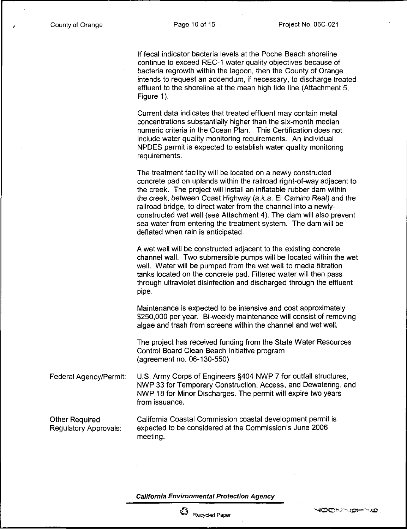If fecal indicator bacteria levels at the Poche Beach shoreline continue to exceed REC-1 water quality objectives because of bacteria regrowth within the lagoon, then the County of Orange intends to request an addendum, if necessary, to discharge treated effluent to the shoreline at the mean high tide line (Attachment 5, Figure 1).

Current data indicates that treated effluent may contain metal concentrations substantially higher than the six-month median numeric criteria in the Ocean Plan. This Certification does not include water quality monitoring requirements. An individual NPDES permit is expected to establish water quality monitoring requirements.

The treatment facility will be located on a newly constructed concrete pad on uplands within the railroad right-of-way adjacent to the creek. The project will install an inflatable rubber dam within the creek, between Coast Highway (a.k.a. El Camino Real) and the railroad bridge, to direct water from the channel into a newlyconstructed wet well (see Attachment 4). The dam will also prevent sea water from entering the treatment system. The dam will be deflated when rain is anticipated.

A wet well will be constructed adjacent to the existing concrete channel wall. Two submersible pumps will be located within the wet well. Water will be pumped from the wet well to media filtration tanks located on the concrete pad. Filtered water will then pass through ultraviolet disinfection and discharged through the effluent pipe.

Maintenance is expected to be intensive and cost approximately \$250,000 per year. Bi-weekly maintenance will consist of removing algae and trash from screens within the channel and wet well.

The project has received funding from the State Water Resources Control Board Clean Beach Initiative program (agreement no. 06-130-550)

Federal Agency/Permit: U.S. Army Corps of Engineers §404 NWP 7 for outfall structures, NWP 33 for Temporary Construction, Access, and Dewatering. and NWP 18 for Minor Discharges. The permit will expire two years from issuance.

Other Required Regulatory Approvals: California Coastal Commission coastal development permit is expected to be considered at the Commission's June 2006 meeting.

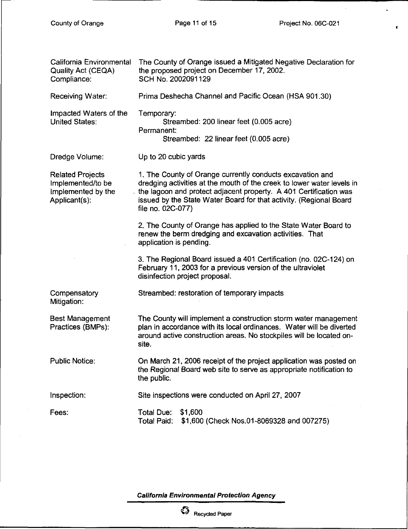$\mathcal{A}^{\mathcal{A}}$ 

 $\bullet$ 

 $\mathbf{r}^{\left(1\right)}$ 

| California Environmental<br>Quality Act (CEQA)<br>Compliance:                       | The County of Orange issued a Mitigated Negative Declaration for<br>the proposed project on December 17, 2002.<br>SCH No. 2002091129                                                                                                                                                                |
|-------------------------------------------------------------------------------------|-----------------------------------------------------------------------------------------------------------------------------------------------------------------------------------------------------------------------------------------------------------------------------------------------------|
| Receiving Water:                                                                    | Prima Deshecha Channel and Pacific Ocean (HSA 901.30)                                                                                                                                                                                                                                               |
| Impacted Waters of the<br><b>United States:</b>                                     | Temporary:<br>Streambed: 200 linear feet (0.005 acre)<br>Permanent:<br>Streambed: 22 linear feet (0.005 acre)                                                                                                                                                                                       |
| Dredge Volume:                                                                      | Up to 20 cubic yards                                                                                                                                                                                                                                                                                |
| <b>Related Projects</b><br>Implemented/to be<br>Implemented by the<br>Applicant(s): | 1. The County of Orange currently conducts excavation and<br>dredging activities at the mouth of the creek to lower water levels in<br>the lagoon and protect adjacent property. A 401 Certification was<br>issued by the State Water Board for that activity. (Regional Board<br>file no. 02C-077) |
|                                                                                     | 2. The County of Orange has applied to the State Water Board to<br>renew the berm dredging and excavation activities. That<br>application is pending.                                                                                                                                               |
|                                                                                     | 3. The Regional Board issued a 401 Certification (no. 02C-124) on<br>February 11, 2003 for a previous version of the ultraviolet<br>disinfection project proposal.                                                                                                                                  |
| Compensatory<br>Mitigation:                                                         | Streambed: restoration of temporary impacts                                                                                                                                                                                                                                                         |
| <b>Best Management</b><br>Practices (BMPs):                                         | The County will implement a construction storm water management<br>plan in accordance with its local ordinances. Water will be diverted<br>around active construction areas. No stockpiles will be located on-<br>site.                                                                             |
| <b>Public Notice:</b>                                                               | On March 21, 2006 receipt of the project application was posted on<br>the Regional Board web site to serve as appropriate notification to<br>the public.                                                                                                                                            |
| Inspection:                                                                         | Site inspections were conducted on April 27, 2007                                                                                                                                                                                                                                                   |
| Fees:                                                                               | <b>Total Due:</b><br>\$1,600<br>\$1,600 (Check Nos.01-8069328 and 007275)<br><b>Total Paid:</b>                                                                                                                                                                                                     |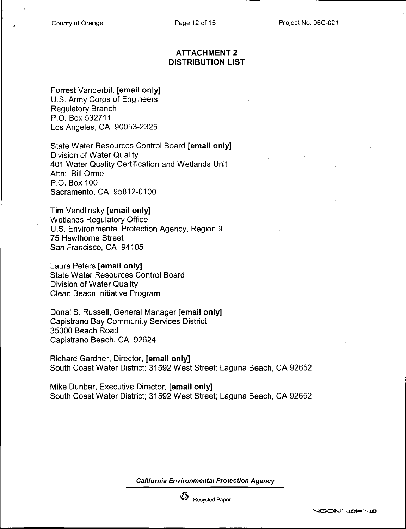#### ATTACHMENT 2 DISTRIBUTION LIST

Forrest Vanderbilt [email only] U.S. Army Corps of Engineers Regulatory Branch P.O. Box 532711 Los Angeles, CA 90053-2325

State Water Resources Control Board [email only] Division of Water Quality 401 Water Quality Certification and Wetlands Unit Attn: Bill Orme P.O. Box 100 Sacramento. CA 95812-0100

Tim Vendlinsky [email only] Wetlands Regulatory Office U.S. Environmental Protection Agency, Region 9 75 Hawthorne Street San Francisco, CA 94105

Laura Peters [email only] State Water Resources Control Board Division of Water Quality Clean Beach Initiative Program

Donal S. Russell, General Manager [email only] Capistrano Bay Community Services District 35000 Beach Road Capistrano Beach, CA 92624

Richard Gardner, Director, [email only] South Coast Water District; 31592 West Street; Laguna Beach. CA 92652

Mike Dunbar, Executive Director, [email only] South Coast Water District; 31592 West Street; Laguna Beach, CA 92652

California Environmental Protection Agency



Recycled Paper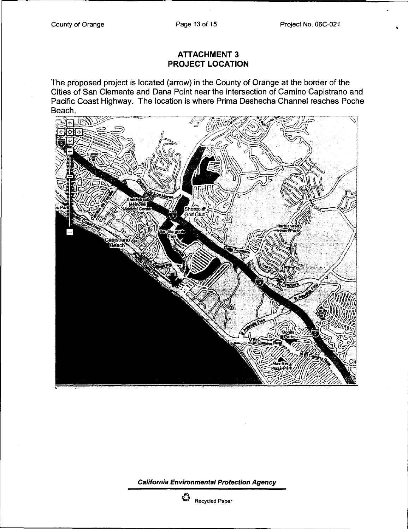## ATTACHMENT 3 PROJECT LOCATION

The proposed project is located (arrow) in the County of Orange at the border of the Cities of San Clemente and Dana Point near the intersection of Camino Capistrano and Pacific Coast Highway. The location is where Prima Deshecha Channel reaches Poche Beach.



California Environmental Protection Agency



 $\begin{array}{cc} \mathbb{C}^2 & \mathbb{R}^2 \end{array}$  Recycled Paper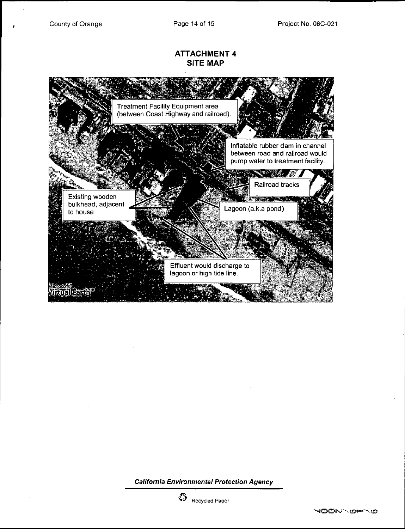#### ATTACHMENT 4 SITE MAP